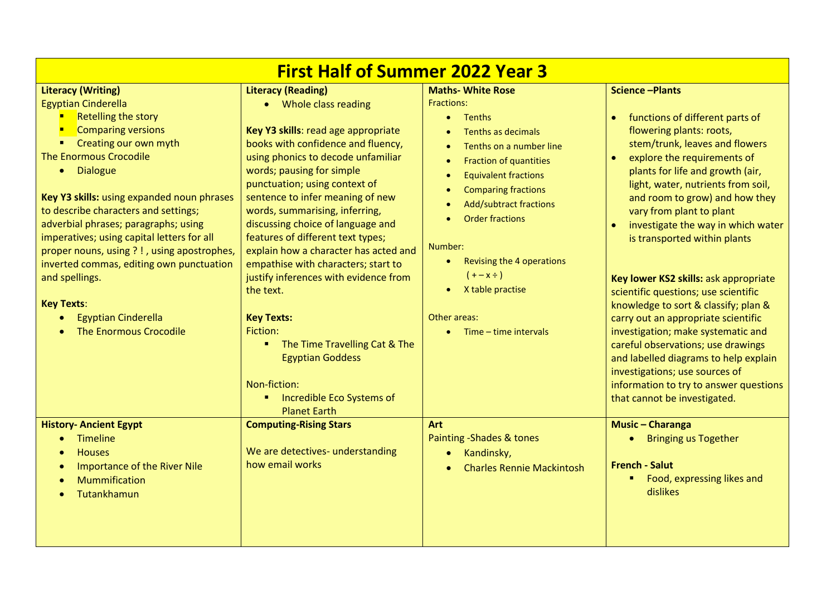| <b>First Half of Summer 2022 Year 3</b>                                                                                                                                                                                                                                              |                                                                                                                                                                                                                                                                                    |                                                                                                                                                                                                                                                                  |                                                                                                                                                                                                                                                                                                              |  |  |
|--------------------------------------------------------------------------------------------------------------------------------------------------------------------------------------------------------------------------------------------------------------------------------------|------------------------------------------------------------------------------------------------------------------------------------------------------------------------------------------------------------------------------------------------------------------------------------|------------------------------------------------------------------------------------------------------------------------------------------------------------------------------------------------------------------------------------------------------------------|--------------------------------------------------------------------------------------------------------------------------------------------------------------------------------------------------------------------------------------------------------------------------------------------------------------|--|--|
| <b>Literacy (Writing)</b><br><b>Egyptian Cinderella</b><br><b>Retelling the story</b><br><b>Comparing versions</b><br>Creating our own myth<br>The Enormous Crocodile<br>• Dialogue                                                                                                  | <b>Literacy (Reading)</b><br>• Whole class reading<br>Key Y3 skills: read age appropriate<br>books with confidence and fluency,<br>using phonics to decode unfamiliar<br>words; pausing for simple<br>punctuation; using context of                                                | <b>Maths- White Rose</b><br><b>Fractions:</b><br>Tenths<br>$\bullet$<br>Tenths as decimals<br>Tenths on a number line<br>$\bullet$<br>Fraction of quantities<br>$\bullet$<br><b>Equivalent fractions</b><br>$\bullet$<br><b>Comparing fractions</b><br>$\bullet$ | <b>Science -Plants</b><br>functions of different parts of<br>$\bullet$<br>flowering plants: roots,<br>stem/trunk, leaves and flowers<br>explore the requirements of<br>plants for life and growth (air,<br>light, water, nutrients from soil,                                                                |  |  |
| Key Y3 skills: using expanded noun phrases<br>to describe characters and settings;<br>adverbial phrases; paragraphs; using<br>imperatives; using capital letters for all<br>proper nouns, using ?!, using apostrophes,<br>inverted commas, editing own punctuation<br>and spellings. | sentence to infer meaning of new<br>words, summarising, inferring,<br>discussing choice of language and<br>features of different text types;<br>explain how a character has acted and<br>empathise with characters; start to<br>justify inferences with evidence from<br>the text. | <b>Add/subtract fractions</b><br>$\bullet$<br><b>Order fractions</b><br>Number:<br>Revising the 4 operations<br>$\bullet$<br>$(+ - x \div)$<br>X table practise                                                                                                  | and room to grow) and how they<br>vary from plant to plant<br>investigate the way in which water<br>$\bullet$<br>is transported within plants<br>Key lower KS2 skills: ask appropriate<br>scientific questions; use scientific                                                                               |  |  |
| <b>Key Texts:</b><br><b>Egyptian Cinderella</b><br><b>The Enormous Crocodile</b>                                                                                                                                                                                                     | <b>Key Texts:</b><br>Fiction:<br>" The Time Travelling Cat & The<br><b>Egyptian Goddess</b><br>Non-fiction:<br>Incredible Eco Systems of<br><b>Planet Earth</b>                                                                                                                    | Other areas:<br>Time – time intervals                                                                                                                                                                                                                            | knowledge to sort & classify; plan &<br>carry out an appropriate scientific<br>investigation; make systematic and<br>careful observations; use drawings<br>and labelled diagrams to help explain<br>investigations; use sources of<br>information to try to answer questions<br>that cannot be investigated. |  |  |
| <b>History- Ancient Egypt</b><br>Timeline<br>$\bullet$<br><b>Houses</b><br><b>Importance of the River Nile</b><br>$\bullet$<br>Mummification<br>Tutankhamun                                                                                                                          | <b>Computing-Rising Stars</b><br>We are detectives- understanding<br>how email works                                                                                                                                                                                               | Art<br>Painting - Shades & tones<br>Kandinsky,<br>$\bullet$<br><b>Charles Rennie Mackintosh</b>                                                                                                                                                                  | <b>Music - Charanga</b><br><b>Bringing us Together</b><br><b>French - Salut</b><br>Food, expressing likes and<br>٠.<br>dislikes                                                                                                                                                                              |  |  |